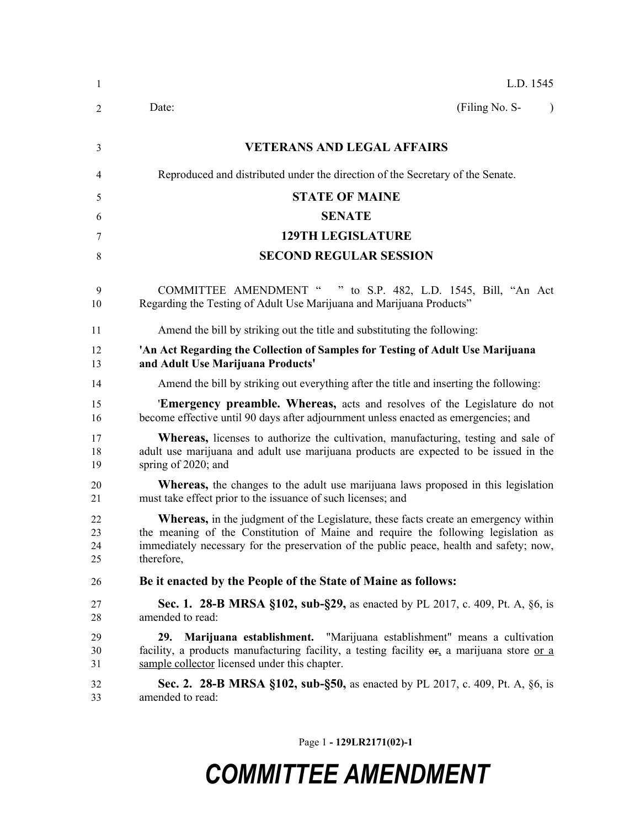| 1                    | L.D. 1545                                                                                                                                                                                                                                                                                |
|----------------------|------------------------------------------------------------------------------------------------------------------------------------------------------------------------------------------------------------------------------------------------------------------------------------------|
| 2                    | (Filing No. S-<br>Date:<br>$\lambda$                                                                                                                                                                                                                                                     |
| 3                    | <b>VETERANS AND LEGAL AFFAIRS</b>                                                                                                                                                                                                                                                        |
| 4                    | Reproduced and distributed under the direction of the Secretary of the Senate.                                                                                                                                                                                                           |
| 5                    | <b>STATE OF MAINE</b>                                                                                                                                                                                                                                                                    |
| 6                    | <b>SENATE</b>                                                                                                                                                                                                                                                                            |
| 7                    | <b>129TH LEGISLATURE</b>                                                                                                                                                                                                                                                                 |
| 8                    | <b>SECOND REGULAR SESSION</b>                                                                                                                                                                                                                                                            |
| 9<br>10              | COMMITTEE AMENDMENT " " to S.P. 482, L.D. 1545, Bill, "An Act<br>Regarding the Testing of Adult Use Marijuana and Marijuana Products"                                                                                                                                                    |
| 11                   | Amend the bill by striking out the title and substituting the following:                                                                                                                                                                                                                 |
| 12<br>13             | 'An Act Regarding the Collection of Samples for Testing of Adult Use Marijuana<br>and Adult Use Marijuana Products'                                                                                                                                                                      |
| 14                   | Amend the bill by striking out everything after the title and inserting the following:                                                                                                                                                                                                   |
| 15<br>16             | <b>Emergency preamble. Whereas,</b> acts and resolves of the Legislature do not<br>become effective until 90 days after adjournment unless enacted as emergencies; and                                                                                                                   |
| 17<br>18<br>19       | <b>Whereas,</b> licenses to authorize the cultivation, manufacturing, testing and sale of<br>adult use marijuana and adult use marijuana products are expected to be issued in the<br>spring of 2020; and                                                                                |
| 20<br>21             | <b>Whereas,</b> the changes to the adult use marijuana laws proposed in this legislation<br>must take effect prior to the issuance of such licenses; and                                                                                                                                 |
| 22<br>23<br>24<br>25 | <b>Whereas,</b> in the judgment of the Legislature, these facts create an emergency within<br>the meaning of the Constitution of Maine and require the following legislation as<br>immediately necessary for the preservation of the public peace, health and safety; now,<br>therefore, |
| 26                   | Be it enacted by the People of the State of Maine as follows:                                                                                                                                                                                                                            |
| 27<br>28             | <b>Sec. 1. 28-B MRSA §102, sub-§29, as enacted by PL 2017, c. 409, Pt. A, §6, is</b><br>amended to read:                                                                                                                                                                                 |
| 29<br>30<br>31       | Marijuana establishment. "Marijuana establishment" means a cultivation<br>29.<br>facility, a products manufacturing facility, a testing facility $\Theta_{\alpha}$ a marijuana store or a<br>sample collector licensed under this chapter.                                               |
| 32<br>33             | Sec. 2. 28-B MRSA §102, sub-§50, as enacted by PL 2017, c. 409, Pt. A, §6, is<br>amended to read:                                                                                                                                                                                        |

Page 1 **- 129LR2171(02)-1**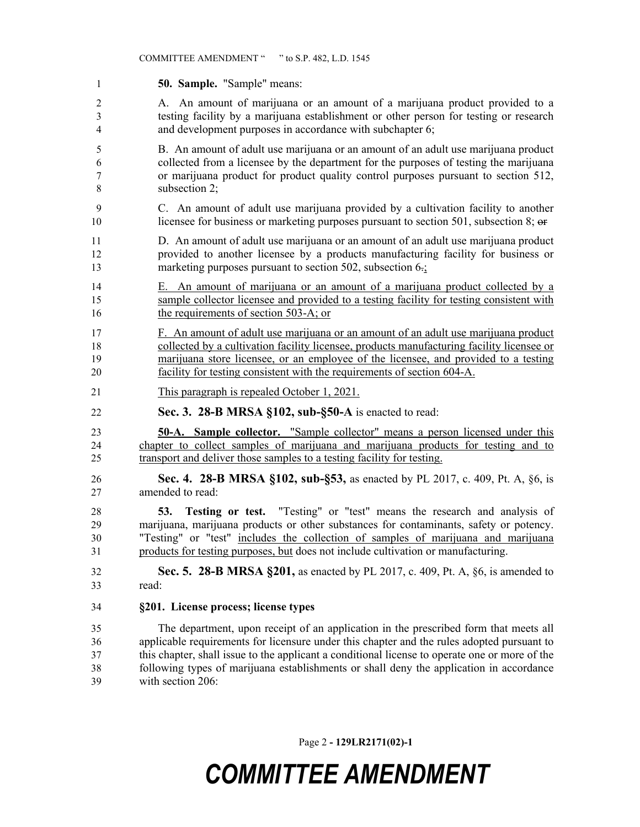**50. Sample.** "Sample" means: A. An amount of marijuana or an amount of a marijuana product provided to a testing facility by a marijuana establishment or other person for testing or research and development purposes in accordance with subchapter 6; B. An amount of adult use marijuana or an amount of an adult use marijuana product collected from a licensee by the department for the purposes of testing the marijuana or marijuana product for product quality control purposes pursuant to section 512, subsection 2; C. An amount of adult use marijuana provided by a cultivation facility to another 10 licensee for business or marketing purposes pursuant to section 501, subsection 8; or D. An amount of adult use marijuana or an amount of an adult use marijuana product provided to another licensee by a products manufacturing facility for business or 13 marketing purposes pursuant to section 502, subsection 6.; 14 E. An amount of marijuana or an amount of a marijuana product collected by a sample collector licensee and provided to a testing facility for testing consistent with 16 the requirements of section 503-A; or F. An amount of adult use marijuana or an amount of an adult use marijuana product collected by a cultivation facility licensee, products manufacturing facility licensee or marijuana store licensee, or an employee of the licensee, and provided to a testing facility for testing consistent with the requirements of section 604-A. This paragraph is repealed October 1, 2021. **Sec. 3. 28-B MRSA §102, sub-§50-A** is enacted to read: **50-A. Sample collector.** "Sample collector" means a person licensed under this chapter to collect samples of marijuana and marijuana products for testing and to transport and deliver those samples to a testing facility for testing. **Sec. 4. 28-B MRSA §102, sub-§53,** as enacted by PL 2017, c. 409, Pt. A, §6, is amended to read: **53. Testing or test.** "Testing" or "test" means the research and analysis of marijuana, marijuana products or other substances for contaminants, safety or potency. "Testing" or "test" includes the collection of samples of marijuana and marijuana products for testing purposes, but does not include cultivation or manufacturing. **Sec. 5. 28-B MRSA §201,** as enacted by PL 2017, c. 409, Pt. A, §6, is amended to read: **§201. License process; license types** The department, upon receipt of an application in the prescribed form that meets all applicable requirements for licensure under this chapter and the rules adopted pursuant to this chapter, shall issue to the applicant a conditional license to operate one or more of the following types of marijuana establishments or shall deny the application in accordance with section 206:

Page 2 **- 129LR2171(02)-1**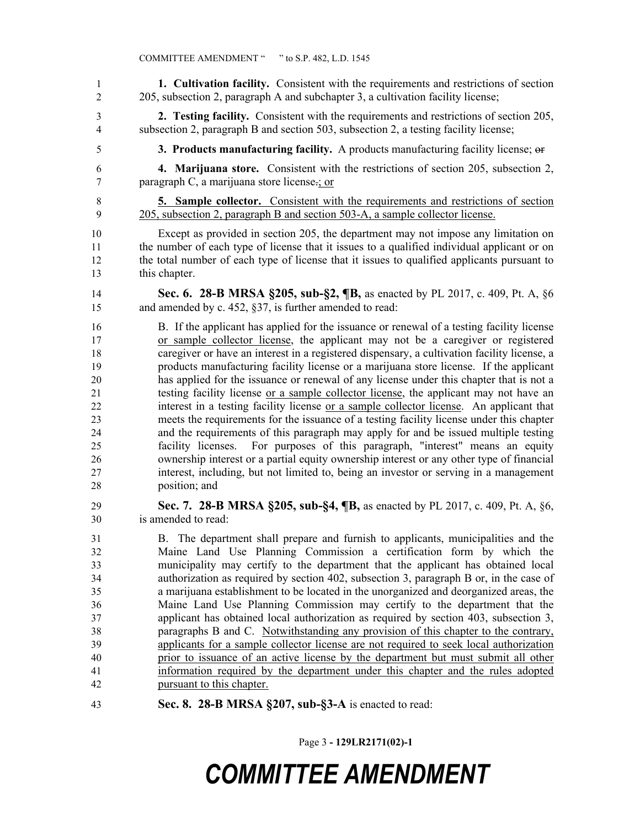**1. Cultivation facility.** Consistent with the requirements and restrictions of section 205, subsection 2, paragraph A and subchapter 3, a cultivation facility license; **2. Testing facility.** Consistent with the requirements and restrictions of section 205, subsection 2, paragraph B and section 503, subsection 2, a testing facility license; **3. Products manufacturing facility.** A products manufacturing facility license; or **4. Marijuana store.** Consistent with the restrictions of section 205, subsection 2, paragraph C, a marijuana store license.; or **5. Sample collector.** Consistent with the requirements and restrictions of section 205, subsection 2, paragraph B and section 503-A, a sample collector license. Except as provided in section 205, the department may not impose any limitation on the number of each type of license that it issues to a qualified individual applicant or on the total number of each type of license that it issues to qualified applicants pursuant to this chapter. **Sec. 6. 28-B MRSA §205, sub-§2, ¶B,** as enacted by PL 2017, c. 409, Pt. A, §6 and amended by c. 452, §37, is further amended to read: B. If the applicant has applied for the issuance or renewal of a testing facility license or sample collector license, the applicant may not be a caregiver or registered caregiver or have an interest in a registered dispensary, a cultivation facility license, a products manufacturing facility license or a marijuana store license. If the applicant has applied for the issuance or renewal of any license under this chapter that is not a testing facility license or a sample collector license, the applicant may not have an interest in a testing facility license or a sample collector license. An applicant that meets the requirements for the issuance of a testing facility license under this chapter and the requirements of this paragraph may apply for and be issued multiple testing facility licenses. For purposes of this paragraph, "interest" means an equity ownership interest or a partial equity ownership interest or any other type of financial interest, including, but not limited to, being an investor or serving in a management position; and **Sec. 7. 28-B MRSA §205, sub-§4, ¶B,** as enacted by PL 2017, c. 409, Pt. A, §6, is amended to read: B. The department shall prepare and furnish to applicants, municipalities and the Maine Land Use Planning Commission a certification form by which the municipality may certify to the department that the applicant has obtained local authorization as required by section 402, subsection 3, paragraph B or, in the case of a marijuana establishment to be located in the unorganized and deorganized areas, the Maine Land Use Planning Commission may certify to the department that the applicant has obtained local authorization as required by section 403, subsection 3, paragraphs B and C. Notwithstanding any provision of this chapter to the contrary, applicants for a sample collector license are not required to seek local authorization prior to issuance of an active license by the department but must submit all other information required by the department under this chapter and the rules adopted pursuant to this chapter. **Sec. 8. 28-B MRSA §207, sub-§3-A** is enacted to read:

Page 3 **- 129LR2171(02)-1**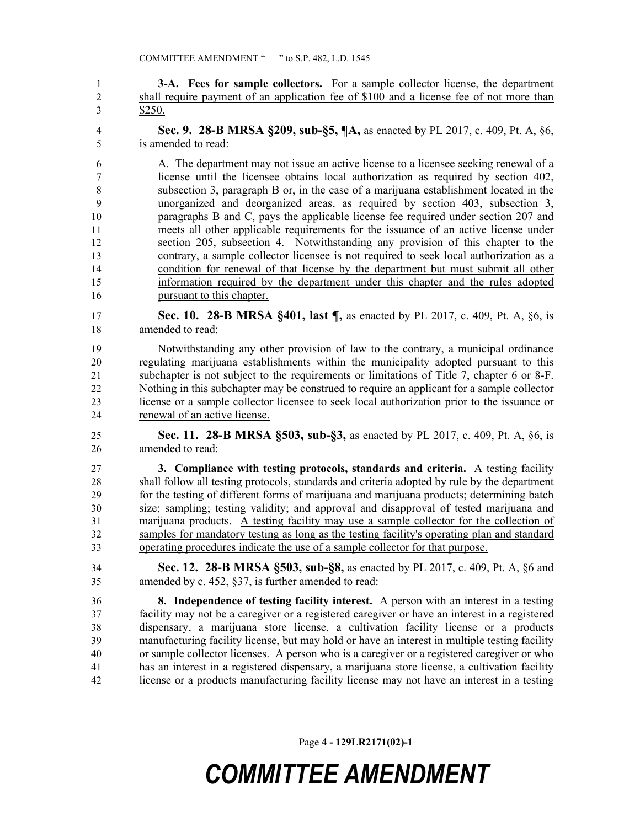**3-A. Fees for sample collectors.** For a sample collector license, the department shall require payment of an application fee of \$100 and a license fee of not more than \$250.

 **Sec. 9. 28-B MRSA §209, sub-§5, ¶A,** as enacted by PL 2017, c. 409, Pt. A, §6, is amended to read:

 A. The department may not issue an active license to a licensee seeking renewal of a license until the licensee obtains local authorization as required by section 402, subsection 3, paragraph B or, in the case of a marijuana establishment located in the unorganized and deorganized areas, as required by section 403, subsection 3, paragraphs B and C, pays the applicable license fee required under section 207 and meets all other applicable requirements for the issuance of an active license under section 205, subsection 4. Notwithstanding any provision of this chapter to the contrary, a sample collector licensee is not required to seek local authorization as a condition for renewal of that license by the department but must submit all other information required by the department under this chapter and the rules adopted pursuant to this chapter.

 **Sec. 10. 28-B MRSA §401, last ¶,** as enacted by PL 2017, c. 409, Pt. A, §6, is amended to read:

 Notwithstanding any other provision of law to the contrary, a municipal ordinance regulating marijuana establishments within the municipality adopted pursuant to this subchapter is not subject to the requirements or limitations of Title 7, chapter 6 or 8-F. Nothing in this subchapter may be construed to require an applicant for a sample collector license or a sample collector licensee to seek local authorization prior to the issuance or renewal of an active license.

 **Sec. 11. 28-B MRSA §503, sub-§3,** as enacted by PL 2017, c. 409, Pt. A, §6, is amended to read:

 **3. Compliance with testing protocols, standards and criteria.** A testing facility shall follow all testing protocols, standards and criteria adopted by rule by the department for the testing of different forms of marijuana and marijuana products; determining batch size; sampling; testing validity; and approval and disapproval of tested marijuana and marijuana products. A testing facility may use a sample collector for the collection of samples for mandatory testing as long as the testing facility's operating plan and standard operating procedures indicate the use of a sample collector for that purpose.

 **Sec. 12. 28-B MRSA §503, sub-§8,** as enacted by PL 2017, c. 409, Pt. A, §6 and amended by c. 452, §37, is further amended to read:

 **8. Independence of testing facility interest.** A person with an interest in a testing facility may not be a caregiver or a registered caregiver or have an interest in a registered dispensary, a marijuana store license, a cultivation facility license or a products manufacturing facility license, but may hold or have an interest in multiple testing facility or sample collector licenses. A person who is a caregiver or a registered caregiver or who has an interest in a registered dispensary, a marijuana store license, a cultivation facility license or a products manufacturing facility license may not have an interest in a testing

Page 4 **- 129LR2171(02)-1**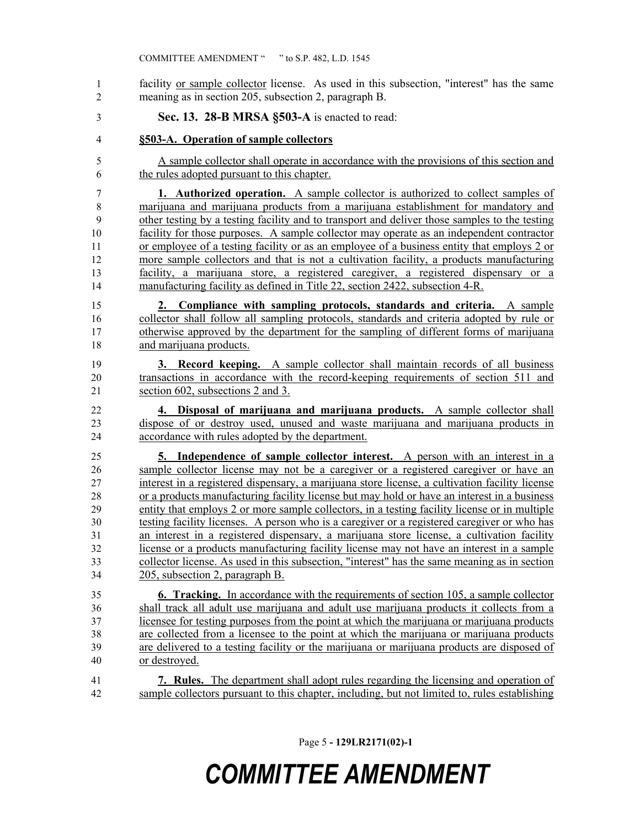- facility or sample collector license. As used in this subsection, "interest" has the same meaning as in section 205, subsection 2, paragraph B.
- **Sec. 13. 28-B MRSA §503-A** is enacted to read:
- **§503-A. Operation of sample collectors**
- A sample collector shall operate in accordance with the provisions of this section and the rules adopted pursuant to this chapter.

 **1. Authorized operation.** A sample collector is authorized to collect samples of marijuana and marijuana products from a marijuana establishment for mandatory and other testing by a testing facility and to transport and deliver those samples to the testing facility for those purposes. A sample collector may operate as an independent contractor or employee of a testing facility or as an employee of a business entity that employs 2 or more sample collectors and that is not a cultivation facility, a products manufacturing facility, a marijuana store, a registered caregiver, a registered dispensary or a manufacturing facility as defined in Title 22, section 2422, subsection 4-R.

 **2. Compliance with sampling protocols, standards and criteria.** A sample collector shall follow all sampling protocols, standards and criteria adopted by rule or otherwise approved by the department for the sampling of different forms of marijuana and marijuana products.

- **3. Record keeping.** A sample collector shall maintain records of all business transactions in accordance with the record-keeping requirements of section 511 and section 602, subsections 2 and 3.
- **4. Disposal of marijuana and marijuana products.** A sample collector shall dispose of or destroy used, unused and waste marijuana and marijuana products in accordance with rules adopted by the department.

 **5. Independence of sample collector interest.** A person with an interest in a sample collector license may not be a caregiver or a registered caregiver or have an interest in a registered dispensary, a marijuana store license, a cultivation facility license or a products manufacturing facility license but may hold or have an interest in a business entity that employs 2 or more sample collectors, in a testing facility license or in multiple testing facility licenses. A person who is a caregiver or a registered caregiver or who has an interest in a registered dispensary, a marijuana store license, a cultivation facility license or a products manufacturing facility license may not have an interest in a sample collector license. As used in this subsection, "interest" has the same meaning as in section 205, subsection 2, paragraph B.

 **6. Tracking.** In accordance with the requirements of section 105, a sample collector shall track all adult use marijuana and adult use marijuana products it collects from a licensee for testing purposes from the point at which the marijuana or marijuana products are collected from a licensee to the point at which the marijuana or marijuana products are delivered to a testing facility or the marijuana or marijuana products are disposed of or destroyed.

 **7. Rules.** The department shall adopt rules regarding the licensing and operation of sample collectors pursuant to this chapter, including, but not limited to, rules establishing

Page 5 **- 129LR2171(02)-1**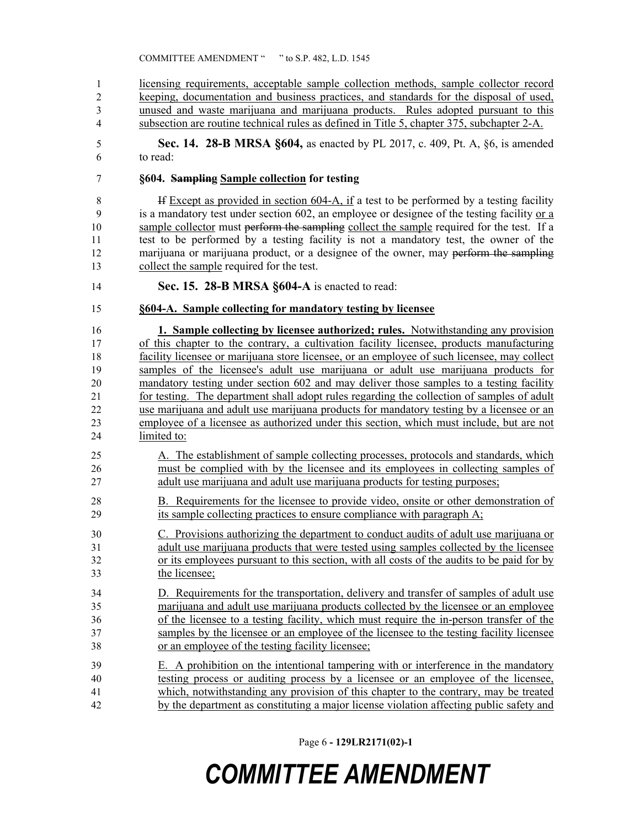licensing requirements, acceptable sample collection methods, sample collector record keeping, documentation and business practices, and standards for the disposal of used, unused and waste marijuana and marijuana products. Rules adopted pursuant to this subsection are routine technical rules as defined in Title 5, chapter 375, subchapter 2-A.

 **Sec. 14. 28-B MRSA §604,** as enacted by PL 2017, c. 409, Pt. A, §6, is amended to read:

#### **§604. Sampling Sample collection for testing**

8 If Except as provided in section 604-A, if a test to be performed by a testing facility is a mandatory test under section 602, an employee or designee of the testing facility or a 10 sample collector must perform the sampling collect the sample required for the test. If a test to be performed by a testing facility is not a mandatory test, the owner of the 12 marijuana or marijuana product, or a designee of the owner, may perform the sampling collect the sample required for the test.

- **Sec. 15. 28-B MRSA §604-A** is enacted to read:
- **§604-A. Sample collecting for mandatory testing by licensee**

 **1. Sample collecting by licensee authorized; rules.** Notwithstanding any provision of this chapter to the contrary, a cultivation facility licensee, products manufacturing facility licensee or marijuana store licensee, or an employee of such licensee, may collect samples of the licensee's adult use marijuana or adult use marijuana products for mandatory testing under section 602 and may deliver those samples to a testing facility 21 for testing. The department shall adopt rules regarding the collection of samples of adult use marijuana and adult use marijuana products for mandatory testing by a licensee or an employee of a licensee as authorized under this section, which must include, but are not limited to:

- A. The establishment of sample collecting processes, protocols and standards, which must be complied with by the licensee and its employees in collecting samples of adult use marijuana and adult use marijuana products for testing purposes;
- B. Requirements for the licensee to provide video, onsite or other demonstration of its sample collecting practices to ensure compliance with paragraph A;

 C. Provisions authorizing the department to conduct audits of adult use marijuana or adult use marijuana products that were tested using samples collected by the licensee or its employees pursuant to this section, with all costs of the audits to be paid for by the licensee;

 D. Requirements for the transportation, delivery and transfer of samples of adult use marijuana and adult use marijuana products collected by the licensee or an employee of the licensee to a testing facility, which must require the in-person transfer of the samples by the licensee or an employee of the licensee to the testing facility licensee or an employee of the testing facility licensee;

 E. A prohibition on the intentional tampering with or interference in the mandatory testing process or auditing process by a licensee or an employee of the licensee, which, notwithstanding any provision of this chapter to the contrary, may be treated by the department as constituting a major license violation affecting public safety and

Page 6 **- 129LR2171(02)-1**